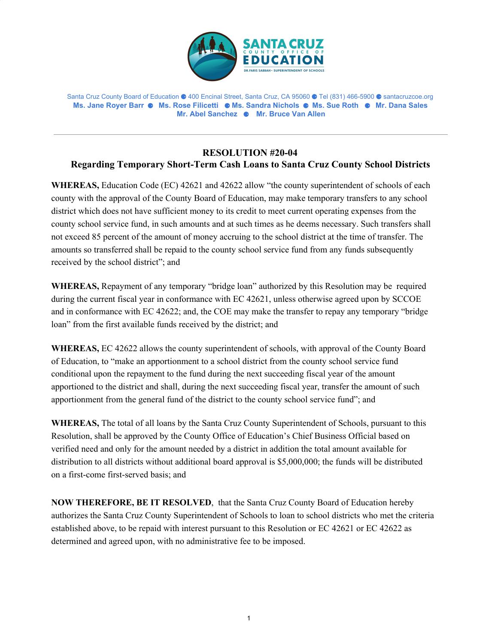

Santa Cruz County Board of Education ⚈ 400 Encinal Street, Santa Cruz, CA 95060 ⚈ Tel (831) 466-5900 ⚈ santacruzcoe.org **Ms. Jane Royer Barr** ⚈ **Ms. Rose Filicetti** ⚈ **Ms. Sandra Nichols** ⚈ **Ms. Sue Roth** ⚈ **Mr. Dana Sales Mr. Abel Sanchez** ⚈ **Mr. Bruce Van Allen**

## **RESOLUTION #20-04 Regarding Temporary Short-Term Cash Loans to Santa Cruz County School Districts**

**WHEREAS,** Education Code (EC) 42621 and 42622 allow "the county superintendent of schools of each county with the approval of the County Board of Education, may make temporary transfers to any school district which does not have sufficient money to its credit to meet current operating expenses from the county school service fund, in such amounts and at such times as he deems necessary. Such transfers shall not exceed 85 percent of the amount of money accruing to the school district at the time of transfer. The amounts so transferred shall be repaid to the county school service fund from any funds subsequently received by the school district"; and

**WHEREAS,** Repayment of any temporary "bridge loan" authorized by this Resolution may be required during the current fiscal year in conformance with EC 42621, unless otherwise agreed upon by SCCOE and in conformance with EC 42622; and, the COE may make the transfer to repay any temporary "bridge loan" from the first available funds received by the district; and

**WHEREAS,** EC 42622 allows the county superintendent of schools, with approval of the County Board of Education, to "make an apportionment to a school district from the county school service fund conditional upon the repayment to the fund during the next succeeding fiscal year of the amount apportioned to the district and shall, during the next succeeding fiscal year, transfer the amount of such apportionment from the general fund of the district to the county school service fund"; and

**WHEREAS,** The total of all loans by the Santa Cruz County Superintendent of Schools, pursuant to this Resolution, shall be approved by the County Office of Education's Chief Business Official based on verified need and only for the amount needed by a district in addition the total amount available for distribution to all districts without additional board approval is \$5,000,000; the funds will be distributed on a first-come first-served basis; and

**NOW THEREFORE, BE IT RESOLVED**, that the Santa Cruz County Board of Education hereby authorizes the Santa Cruz County Superintendent of Schools to loan to school districts who met the criteria established above, to be repaid with interest pursuant to this Resolution or EC 42621 or EC 42622 as determined and agreed upon, with no administrative fee to be imposed.